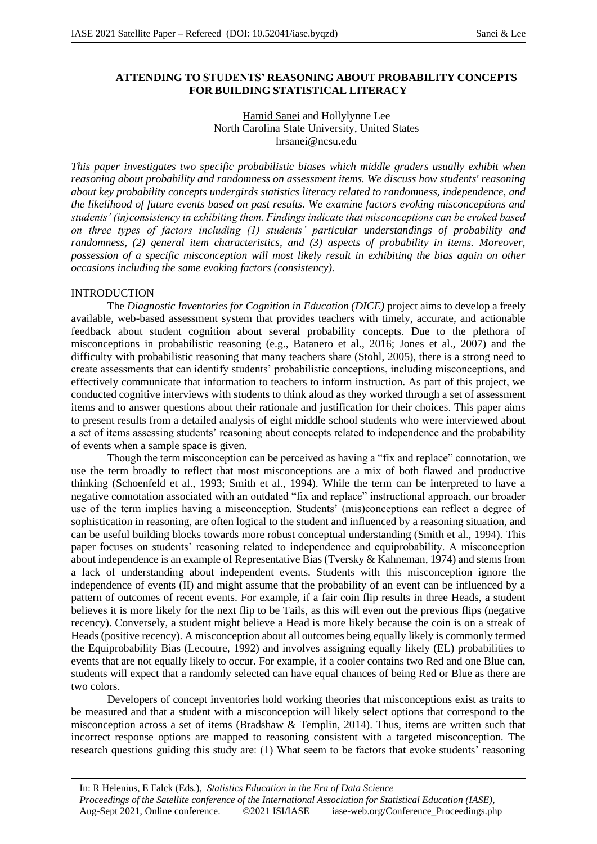## **ATTENDING TO STUDENTS' REASONING ABOUT PROBABILITY CONCEPTS FOR BUILDING STATISTICAL LITERACY**

## Hamid Sanei and Hollylynne Lee North Carolina State University, United States hrsanei@ncsu.edu

*This paper investigates two specific probabilistic biases which middle graders usually exhibit when reasoning about probability and randomness on assessment items. We discuss how students' reasoning about key probability concepts undergirds statistics literacy related to randomness, independence, and the likelihood of future events based on past results. We examine factors evoking misconceptions and students' (in)consistency in exhibiting them. Findings indicate that misconceptions can be evoked based on three types of factors including (1) students' particular understandings of probability and randomness, (2) general item characteristics, and (3) aspects of probability in items. Moreover, possession of a specific misconception will most likely result in exhibiting the bias again on other occasions including the same evoking factors (consistency).*

# INTRODUCTION

The *Diagnostic Inventories for Cognition in Education (DICE)* project aims to develop a freely available, web-based assessment system that provides teachers with timely, accurate, and actionable feedback about student cognition about several probability concepts. Due to the plethora of misconceptions in probabilistic reasoning (e.g., Batanero et al., 2016; Jones et al., 2007) and the difficulty with probabilistic reasoning that many teachers share (Stohl, 2005), there is a strong need to create assessments that can identify students' probabilistic conceptions, including misconceptions, and effectively communicate that information to teachers to inform instruction. As part of this project, we conducted cognitive interviews with students to think aloud as they worked through a set of assessment items and to answer questions about their rationale and justification for their choices. This paper aims to present results from a detailed analysis of eight middle school students who were interviewed about a set of items assessing students' reasoning about concepts related to independence and the probability of events when a sample space is given.

Though the term misconception can be perceived as having a "fix and replace" connotation, we use the term broadly to reflect that most misconceptions are a mix of both flawed and productive thinking (Schoenfeld et al., 1993; Smith et al., 1994). While the term can be interpreted to have a negative connotation associated with an outdated "fix and replace" instructional approach, our broader use of the term implies having a misconception. Students' (mis)conceptions can reflect a degree of sophistication in reasoning, are often logical to the student and influenced by a reasoning situation, and can be useful building blocks towards more robust conceptual understanding (Smith et al., 1994). This paper focuses on students' reasoning related to independence and equiprobability. A misconception about independence is an example of Representative Bias (Tversky & Kahneman, 1974) and stems from a lack of understanding about independent events. Students with this misconception ignore the independence of events (II) and might assume that the probability of an event can be influenced by a pattern of outcomes of recent events. For example, if a fair coin flip results in three Heads, a student believes it is more likely for the next flip to be Tails, as this will even out the previous flips (negative recency). Conversely, a student might believe a Head is more likely because the coin is on a streak of Heads (positive recency). A misconception about all outcomes being equally likely is commonly termed the Equiprobability Bias (Lecoutre, 1992) and involves assigning equally likely (EL) probabilities to events that are not equally likely to occur. For example, if a cooler contains two Red and one Blue can, students will expect that a randomly selected can have equal chances of being Red or Blue as there are two colors.

Developers of concept inventories hold working theories that misconceptions exist as traits to be measured and that a student with a misconception will likely select options that correspond to the misconception across a set of items (Bradshaw & Templin, 2014). Thus, items are written such that incorrect response options are mapped to reasoning consistent with a targeted misconception. The research questions guiding this study are: (1) What seem to be factors that evoke students' reasoning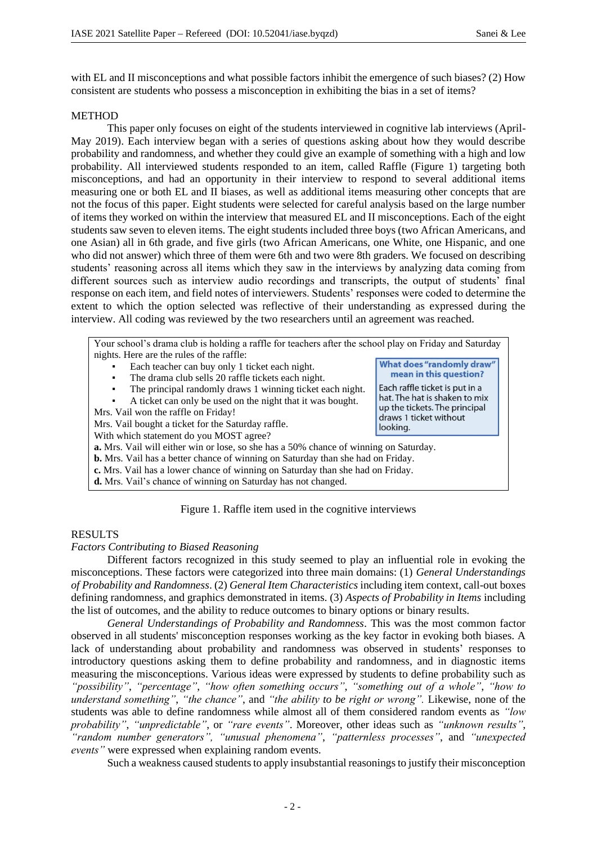with EL and II misconceptions and what possible factors inhibit the emergence of such biases? (2) How consistent are students who possess a misconception in exhibiting the bias in a set of items?

## **METHOD**

This paper only focuses on eight of the students interviewed in cognitive lab interviews (April-May 2019). Each interview began with a series of questions asking about how they would describe probability and randomness, and whether they could give an example of something with a high and low probability. All interviewed students responded to an item, called Raffle (Figure 1) targeting both misconceptions, and had an opportunity in their interview to respond to several additional items measuring one or both EL and II biases, as well as additional items measuring other concepts that are not the focus of this paper. Eight students were selected for careful analysis based on the large number of items they worked on within the interview that measured EL and II misconceptions. Each of the eight students saw seven to eleven items. The eight students included three boys (two African Americans, and one Asian) all in 6th grade, and five girls (two African Americans, one White, one Hispanic, and one who did not answer) which three of them were 6th and two were 8th graders. We focused on describing students' reasoning across all items which they saw in the interviews by analyzing data coming from different sources such as interview audio recordings and transcripts, the output of students' final response on each item, and field notes of interviewers. Students' responses were coded to determine the extent to which the option selected was reflective of their understanding as expressed during the interview. All coding was reviewed by the two researchers until an agreement was reached.

Your school's drama club is holding a raffle for teachers after the school play on Friday and Saturday nights. Here are the rules of the raffle: What does "randomly draw" Each teacher can buy only 1 ticket each night. mean in this question? The drama club sells 20 raffle tickets each night. Each raffle ticket is put in a The principal randomly draws 1 winning ticket each night. hat. The hat is shaken to mix A ticket can only be used on the night that it was bought. up the tickets. The principal Mrs. Vail won the raffle on Friday! draws 1 ticket without Mrs. Vail bought a ticket for the Saturday raffle. looking. With which statement do you MOST agree? **a.** Mrs. Vail will either win or lose, so she has a 50% chance of winning on Saturday. **b.** Mrs. Vail has a better chance of winning on Saturday than she had on Friday. **c.** Mrs. Vail has a lower chance of winning on Saturday than she had on Friday. **d.** Mrs. Vail's chance of winning on Saturday has not changed. Figure 1. Raffle item used in the cognitive interviews

### RESULTS

*Factors Contributing to Biased Reasoning*

Different factors recognized in this study seemed to play an influential role in evoking the misconceptions. These factors were categorized into three main domains: (1) *General Understandings of Probability and Randomness*. (2) *General Item Characteristics* including item context, call-out boxes defining randomness, and graphics demonstrated in items. (3) *Aspects of Probability in Items* including the list of outcomes, and the ability to reduce outcomes to binary options or binary results.

*General Understandings of Probability and Randomness*. This was the most common factor observed in all students' misconception responses working as the key factor in evoking both biases. A lack of understanding about probability and randomness was observed in students' responses to introductory questions asking them to define probability and randomness, and in diagnostic items measuring the misconceptions. Various ideas were expressed by students to define probability such as *"possibility"*, *"percentage"*, *"how often something occurs"*, *"something out of a whole"*, *"how to understand something"*, *"the chance"*, and *"the ability to be right or wrong".* Likewise, none of the students was able to define randomness while almost all of them considered random events as *"low probability"*, *"unpredictable"*, or *"rare events"*. Moreover, other ideas such as *"unknown results"*, *"random number generators", "unusual phenomena"*, *"patternless processes"*, and *"unexpected events"* were expressed when explaining random events.

Such a weakness caused students to apply insubstantial reasonings to justify their misconception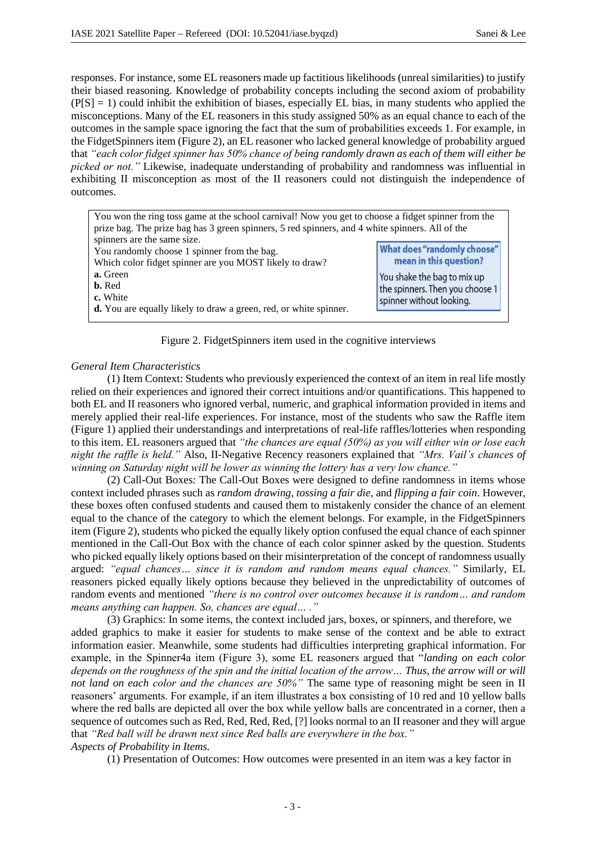responses. For instance, some EL reasoners made up factitious likelihoods (unreal similarities) to justify their biased reasoning. Knowledge of probability concepts including the second axiom of probability  $(P[S] = 1)$  could inhibit the exhibition of biases, especially EL bias, in many students who applied the misconceptions. Many of the EL reasoners in this study assigned 50% as an equal chance to each of the outcomes in the sample space ignoring the fact that the sum of probabilities exceeds 1. For example, in the FidgetSpinners item (Figure 2), an EL reasoner who lacked general knowledge of probability argued that *"each color fidget spinner has 50% chance of being randomly drawn as each of them will either be picked or not."* Likewise, inadequate understanding of probability and randomness was influential in exhibiting II misconception as most of the II reasoners could not distinguish the independence of outcomes.

| You won the ring toss game at the school carnival! Now you get to choose a fidget spinner from the |                                 |  |  |  |  |  |  |
|----------------------------------------------------------------------------------------------------|---------------------------------|--|--|--|--|--|--|
| prize bag. The prize bag has 3 green spinners, 5 red spinners, and 4 white spinners. All of the    |                                 |  |  |  |  |  |  |
| spinners are the same size.                                                                        |                                 |  |  |  |  |  |  |
| You randomly choose 1 spinner from the bag.                                                        | What does "randomly choose"     |  |  |  |  |  |  |
| Which color fidget spinner are you MOST likely to draw?                                            | mean in this question?          |  |  |  |  |  |  |
| a. Green                                                                                           | You shake the bag to mix up     |  |  |  |  |  |  |
| <b>b.</b> Red                                                                                      | the spinners. Then you choose 1 |  |  |  |  |  |  |
| c. White                                                                                           | spinner without looking.        |  |  |  |  |  |  |
| <b>d.</b> You are equally likely to draw a green, red, or white spinner.                           |                                 |  |  |  |  |  |  |
|                                                                                                    |                                 |  |  |  |  |  |  |

Figure 2. FidgetSpinners item used in the cognitive interviews

# *General Item Characteristics*

(1) Item Context: Students who previously experienced the context of an item in real life mostly relied on their experiences and ignored their correct intuitions and/or quantifications. This happened to both EL and II reasoners who ignored verbal, numeric, and graphical information provided in items and merely applied their real-life experiences. For instance, most of the students who saw the Raffle item (Figure 1) applied their understandings and interpretations of real-life raffles/lotteries when responding to this item. EL reasoners argued that *"the chances are equal (50%) as you will either win or lose each night the raffle is held."* Also, II-Negative Recency reasoners explained that *"Mrs. Vail's chances of winning on Saturday night will be lower as winning the lottery has a very low chance."*

(2) Call-Out Boxes: The Call-Out Boxes were designed to define randomness in items whose context included phrases such as *random drawing*, *tossing a fair die*, and *flipping a fair coin*. However, these boxes often confused students and caused them to mistakenly consider the chance of an element equal to the chance of the category to which the element belongs. For example, in the FidgetSpinners item (Figure 2), students who picked the equally likely option confused the equal chance of each spinner mentioned in the Call-Out Box with the chance of each color spinner asked by the question. Students who picked equally likely options based on their misinterpretation of the concept of randomness usually argued: *"equal chances… since it is random and random means equal chances."* Similarly, EL reasoners picked equally likely options because they believed in the unpredictability of outcomes of random events and mentioned *"there is no control over outcomes because it is random… and random means anything can happen. So, chances are equal… ."*

(3) Graphics: In some items, the context included jars, boxes, or spinners, and therefore, we added graphics to make it easier for students to make sense of the context and be able to extract information easier. Meanwhile, some students had difficulties interpreting graphical information. For example, in the Spinner4a item (Figure 3), some EL reasoners argued that "*landing on each color depends on the roughness of the spin and the initial location of the arrow… Thus, the arrow will or will not land on each color and the chances are 50%"* The same type of reasoning might be seen in II reasoners' arguments. For example, if an item illustrates a box consisting of 10 red and 10 yellow balls where the red balls are depicted all over the box while yellow balls are concentrated in a corner, then a sequence of outcomes such as Red, Red, Red, Red, [?] looks normal to an II reasoner and they will argue that *"Red ball will be drawn next since Red balls are everywhere in the box." Aspects of Probability in Items.*

(1) Presentation of Outcomes: How outcomes were presented in an item was a key factor in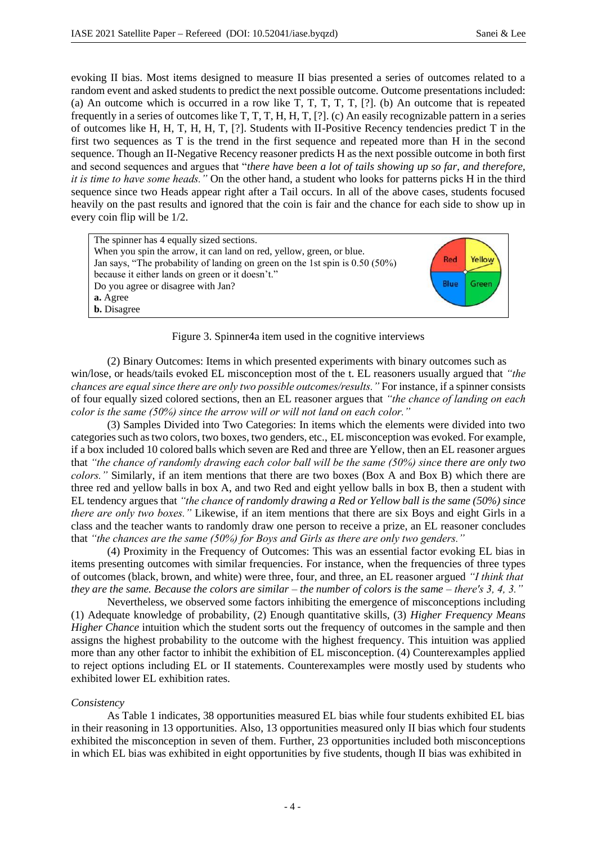evoking II bias. Most items designed to measure II bias presented a series of outcomes related to a random event and asked students to predict the next possible outcome. Outcome presentations included: (a) An outcome which is occurred in a row like T, T, T, T, T, [?]. (b) An outcome that is repeated frequently in a series of outcomes like T, T, T, H, H, T, [?]. (c) An easily recognizable pattern in a series of outcomes like H, H, T, H, H, T, [?]. Students with II-Positive Recency tendencies predict T in the first two sequences as T is the trend in the first sequence and repeated more than H in the second sequence. Though an II-Negative Recency reasoner predicts H as the next possible outcome in both first and second sequences and argues that "*there have been a lot of tails showing up so far, and therefore, it is time to have some heads."* On the other hand, a student who looks for patterns picks H in the third sequence since two Heads appear right after a Tail occurs. In all of the above cases, students focused heavily on the past results and ignored that the coin is fair and the chance for each side to show up in every coin flip will be 1/2.



Figure 3. Spinner4a item used in the cognitive interviews

(2) Binary Outcomes: Items in which presented experiments with binary outcomes such as win/lose, or heads/tails evoked EL misconception most of the t. EL reasoners usually argued that *"the chances are equal since there are only two possible outcomes/results."* For instance, if a spinner consists of four equally sized colored sections, then an EL reasoner argues that *"the chance of landing on each color is the same (50%) since the arrow will or will not land on each color."*

(3) Samples Divided into Two Categories: In items which the elements were divided into two categories such as two colors, two boxes, two genders, etc., EL misconception was evoked. For example, if a box included 10 colored balls which seven are Red and three are Yellow, then an EL reasoner argues that *"the chance of randomly drawing each color ball will be the same (50%) since there are only two colors."* Similarly, if an item mentions that there are two boxes (Box A and Box B) which there are three red and yellow balls in box A, and two Red and eight yellow balls in box B, then a student with EL tendency argues that *"the chance of randomly drawing a Red or Yellow ball is the same (50%) since there are only two boxes."* Likewise, if an item mentions that there are six Boys and eight Girls in a class and the teacher wants to randomly draw one person to receive a prize, an EL reasoner concludes that *"the chances are the same (50%) for Boys and Girls as there are only two genders."*

(4) Proximity in the Frequency of Outcomes: This was an essential factor evoking EL bias in items presenting outcomes with similar frequencies. For instance, when the frequencies of three types of outcomes (black, brown, and white) were three, four, and three, an EL reasoner argued *"I think that they are the same. Because the colors are similar – the number of colors is the same – there's 3, 4, 3."*

Nevertheless, we observed some factors inhibiting the emergence of misconceptions including (1) Adequate knowledge of probability, (2) Enough quantitative skills, (3) *Higher Frequency Means Higher Chance* intuition which the student sorts out the frequency of outcomes in the sample and then assigns the highest probability to the outcome with the highest frequency. This intuition was applied more than any other factor to inhibit the exhibition of EL misconception. (4) Counterexamples applied to reject options including EL or II statements. Counterexamples were mostly used by students who exhibited lower EL exhibition rates.

# *Consistency*

As Table 1 indicates, 38 opportunities measured EL bias while four students exhibited EL bias in their reasoning in 13 opportunities. Also, 13 opportunities measured only II bias which four students exhibited the misconception in seven of them. Further, 23 opportunities included both misconceptions in which EL bias was exhibited in eight opportunities by five students, though II bias was exhibited in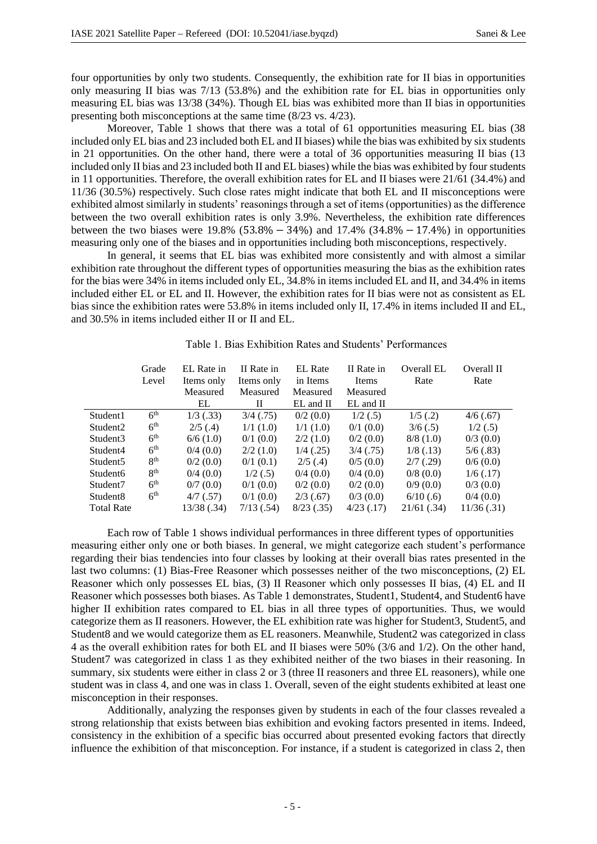four opportunities by only two students. Consequently, the exhibition rate for II bias in opportunities only measuring II bias was 7/13 (53.8%) and the exhibition rate for EL bias in opportunities only measuring EL bias was 13/38 (34%). Though EL bias was exhibited more than II bias in opportunities presenting both misconceptions at the same time (8/23 vs. 4/23).

Moreover, Table 1 shows that there was a total of 61 opportunities measuring EL bias (38) included only EL bias and 23 included both EL and II biases) while the bias was exhibited by six students in 21 opportunities. On the other hand, there were a total of 36 opportunities measuring II bias (13 included only II bias and 23 included both II and EL biases) while the bias was exhibited by four students in 11 opportunities. Therefore, the overall exhibition rates for EL and II biases were 21/61 (34.4%) and 11/36 (30.5%) respectively. Such close rates might indicate that both EL and II misconceptions were exhibited almost similarly in students' reasonings through a set of items (opportunities) as the difference between the two overall exhibition rates is only 3.9%. Nevertheless, the exhibition rate differences between the two biases were 19.8% (53.8% − 34%) and 17.4% (34.8% − 17.4%) in opportunities measuring only one of the biases and in opportunities including both misconceptions, respectively.

In general, it seems that EL bias was exhibited more consistently and with almost a similar exhibition rate throughout the different types of opportunities measuring the bias as the exhibition rates for the bias were 34% in items included only EL, 34.8% in items included EL and II, and 34.4% in items included either EL or EL and II. However, the exhibition rates for II bias were not as consistent as EL bias since the exhibition rates were 53.8% in items included only II, 17.4% in items included II and EL, and 30.5% in items included either II or II and EL.

|                      | Grade<br>Level  | EL Rate in<br>Items only | II Rate in<br>Items only | <b>EL</b> Rate<br>in Items | II Rate in<br>Items | Overall EL<br>Rate | Overall II<br>Rate |
|----------------------|-----------------|--------------------------|--------------------------|----------------------------|---------------------|--------------------|--------------------|
|                      |                 | Measured                 | Measured                 | Measured                   | Measured            |                    |                    |
|                      |                 | EL                       | П                        | $EL$ and $II$              | $EL$ and $II$       |                    |                    |
| Student1             | 6 <sup>th</sup> | $1/3$ (.33)              | $3/4$ (.75)              | 0/2(0.0)                   | 1/2(.5)             | $1/5$ (.2)         | 4/6(.67)           |
| Student <sub>2</sub> | 6 <sup>th</sup> | $2/5$ (.4)               | 1/1(1.0)                 | 1/1(1.0)                   | $0/1$ (0.0)         | 3/6(.5)            | $1/2$ (.5)         |
| Student3             | 6 <sup>th</sup> | 6/6(1.0)                 | 0/1(0.0)                 | 2/2(1.0)                   | 0/2(0.0)            | 8/8(1.0)           | $0/3$ (0.0)        |
| Student4             | 6 <sup>th</sup> | 0/4(0.0)                 | 2/2(1.0)                 | $1/4$ (.25)                | $3/4$ (.75)         | $1/8$ (.13)        | 5/6(.83)           |
| Student <sub>5</sub> | 8 <sup>th</sup> | 0/2(0.0)                 | $0/1$ (0.1)              | $2/5$ (.4)                 | 0/5(0.0)            | 2/7(.29)           | 0/6(0.0)           |
| Student <sub>6</sub> | 8 <sup>th</sup> | 0/4(0.0)                 | $1/2$ (.5)               | 0/4(0.0)                   | 0/4(0.0)            | 0/8(0.0)           | $1/6$ (.17)        |
| Student7             | 6 <sup>th</sup> | 0/7(0.0)                 | 0/1(0.0)                 | 0/2(0.0)                   | 0/2(0.0)            | 0/9(0.0)           | 0/3(0.0)           |
| Student <sub>8</sub> | 6 <sup>th</sup> | $4/7$ (.57)              | $0/1$ (0.0)              | 2/3(0.67)                  | 0/3(0.0)            | $6/10$ (.6)        | 0/4(0.0)           |
| <b>Total Rate</b>    |                 | 13/38 (.34)              | $7/13$ (.54)             | $8/23$ (.35)               | $4/23$ (.17)        | $21/61$ (.34)      | 11/36(.31)         |

Table 1. Bias Exhibition Rates and Students' Performances

Each row of Table 1 shows individual performances in three different types of opportunities measuring either only one or both biases. In general, we might categorize each student's performance regarding their bias tendencies into four classes by looking at their overall bias rates presented in the last two columns: (1) Bias-Free Reasoner which possesses neither of the two misconceptions, (2) EL Reasoner which only possesses EL bias, (3) II Reasoner which only possesses II bias, (4) EL and II Reasoner which possesses both biases. As Table 1 demonstrates, Student1, Student4, and Student6 have higher II exhibition rates compared to EL bias in all three types of opportunities. Thus, we would categorize them as II reasoners. However, the EL exhibition rate was higher for Student3, Student5, and Student8 and we would categorize them as EL reasoners. Meanwhile, Student2 was categorized in class 4 as the overall exhibition rates for both EL and II biases were 50% (3/6 and 1/2). On the other hand, Student7 was categorized in class 1 as they exhibited neither of the two biases in their reasoning. In summary, six students were either in class 2 or 3 (three II reasoners and three EL reasoners), while one student was in class 4, and one was in class 1. Overall, seven of the eight students exhibited at least one misconception in their responses.

Additionally, analyzing the responses given by students in each of the four classes revealed a strong relationship that exists between bias exhibition and evoking factors presented in items. Indeed, consistency in the exhibition of a specific bias occurred about presented evoking factors that directly influence the exhibition of that misconception. For instance, if a student is categorized in class 2, then